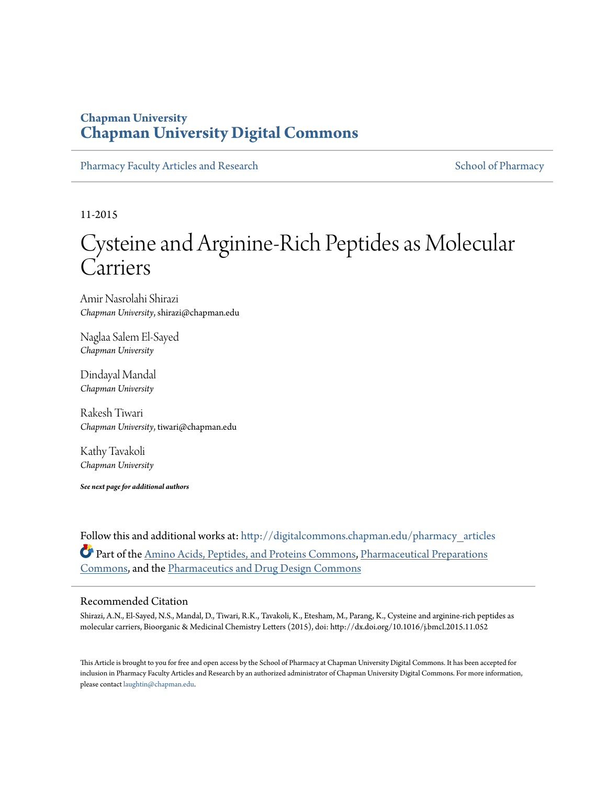# **Chapman University [Chapman University Digital Commons](http://digitalcommons.chapman.edu?utm_source=digitalcommons.chapman.edu%2Fpharmacy_articles%2F204&utm_medium=PDF&utm_campaign=PDFCoverPages)**

[Pharmacy Faculty Articles and Research](http://digitalcommons.chapman.edu/pharmacy_articles?utm_source=digitalcommons.chapman.edu%2Fpharmacy_articles%2F204&utm_medium=PDF&utm_campaign=PDFCoverPages) [School of Pharmacy](http://digitalcommons.chapman.edu/cusp?utm_source=digitalcommons.chapman.edu%2Fpharmacy_articles%2F204&utm_medium=PDF&utm_campaign=PDFCoverPages) School of Pharmacy

11-2015

# Cysteine and Arginine-Rich Peptides as Molecular Carriers

Amir Nasrolahi Shirazi *Chapman University*, shirazi@chapman.edu

Naglaa Salem El-Sayed *Chapman University*

Dindayal Mandal *Chapman University*

Rakesh Tiwari *Chapman University*, tiwari@chapman.edu

Kathy Tavakoli *Chapman University*

*See next page for additional authors*

Follow this and additional works at: [http://digitalcommons.chapman.edu/pharmacy\\_articles](http://digitalcommons.chapman.edu/pharmacy_articles?utm_source=digitalcommons.chapman.edu%2Fpharmacy_articles%2F204&utm_medium=PDF&utm_campaign=PDFCoverPages) Part of the [Amino Acids, Peptides, and Proteins Commons](http://network.bepress.com/hgg/discipline/954?utm_source=digitalcommons.chapman.edu%2Fpharmacy_articles%2F204&utm_medium=PDF&utm_campaign=PDFCoverPages), [Pharmaceutical Preparations](http://network.bepress.com/hgg/discipline/936?utm_source=digitalcommons.chapman.edu%2Fpharmacy_articles%2F204&utm_medium=PDF&utm_campaign=PDFCoverPages) [Commons,](http://network.bepress.com/hgg/discipline/936?utm_source=digitalcommons.chapman.edu%2Fpharmacy_articles%2F204&utm_medium=PDF&utm_campaign=PDFCoverPages) and the [Pharmaceutics and Drug Design Commons](http://network.bepress.com/hgg/discipline/733?utm_source=digitalcommons.chapman.edu%2Fpharmacy_articles%2F204&utm_medium=PDF&utm_campaign=PDFCoverPages)

## Recommended Citation

Shirazi, A.N., El-Sayed, N.S., Mandal, D., Tiwari, R.K., Tavakoli, K., Etesham, M., Parang, K., Cysteine and arginine-rich peptides as molecular carriers, Bioorganic & Medicinal Chemistry Letters (2015), doi: http://dx.doi.org/10.1016/j.bmcl.2015.11.052

This Article is brought to you for free and open access by the School of Pharmacy at Chapman University Digital Commons. It has been accepted for inclusion in Pharmacy Faculty Articles and Research by an authorized administrator of Chapman University Digital Commons. For more information, please contact [laughtin@chapman.edu.](mailto:laughtin@chapman.edu)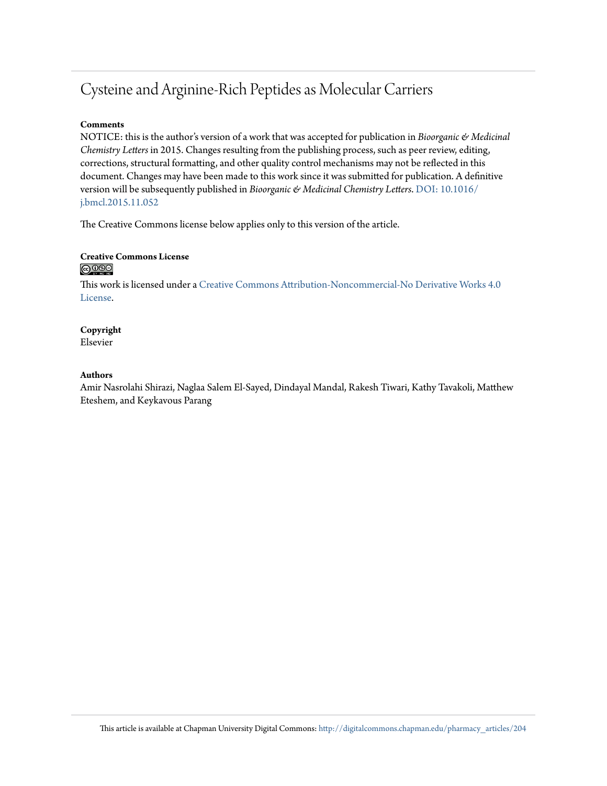# Cysteine and Arginine-Rich Peptides as Molecular Carriers

## **Comments**

NOTICE: this is the author's version of a work that was accepted for publication in *Bioorganic & Medicinal Chemistry Letters* in 2015. Changes resulting from the publishing process, such as peer review, editing, corrections, structural formatting, and other quality control mechanisms may not be reflected in this document. Changes may have been made to this work since it was submitted for publication. A definitive version will be subsequently published in *Bioorganic & Medicinal Chemistry Letters*. [DOI:](http://dx.doi.org/10.1016/j.bmcl.2015.11.052) [10.1016/](http://dx.doi.org/10.1016/j.bmcl.2015.11.052) [j.bmcl.2015.11.052](http://dx.doi.org/10.1016/j.bmcl.2015.11.052)

The Creative Commons license below applies only to this version of the article.

## **Creative Commons License** <u>@0®ම</u>

This work is licensed under a [Creative Commons Attribution-Noncommercial-No Derivative Works 4.0](http://creativecommons.org/licenses/by-nc-nd/4.0/) [License.](http://creativecommons.org/licenses/by-nc-nd/4.0/)

## **Copyright** Elsevier

## **Authors**

Amir Nasrolahi Shirazi, Naglaa Salem El-Sayed, Dindayal Mandal, Rakesh Tiwari, Kathy Tavakoli, Matthew Eteshem, and Keykavous Parang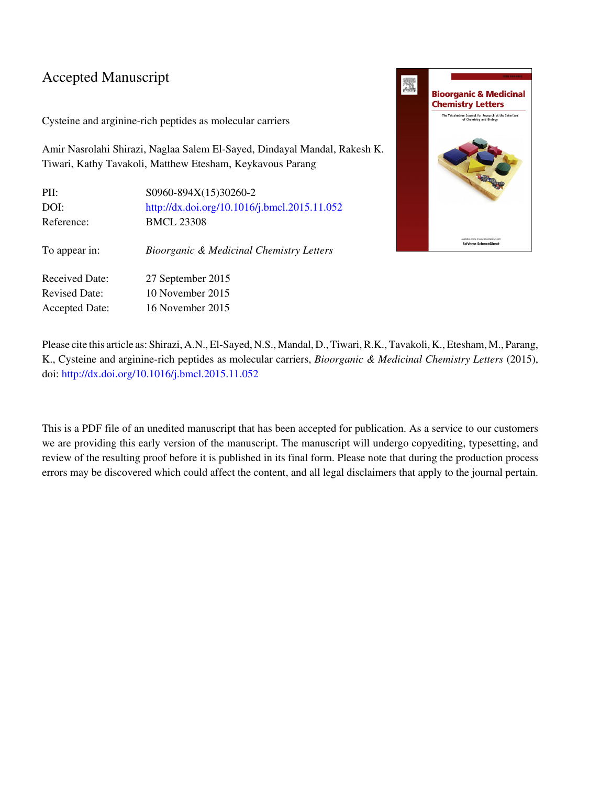# Accepted Manuscript

Cysteine and arginine-rich peptides as molecular carriers

Amir Nasrolahi Shirazi, Naglaa Salem El-Sayed, Dindayal Mandal, Rakesh K. Tiwari, Kathy Tavakoli, Matthew Etesham, Keykavous Parang

| PII:                  | S0960-894X(15)30260-2                               |
|-----------------------|-----------------------------------------------------|
| DOI:                  | http://dx.doi.org/10.1016/j.bmcl.2015.11.052        |
| Reference:            | <b>BMCL 23308</b>                                   |
| To appear in:         | <b>Bioorganic &amp; Medicinal Chemistry Letters</b> |
| Received Date:        | 27 September 2015                                   |
| <b>Revised Date:</b>  | $10$ November $2015$                                |
| <b>Accepted Date:</b> | 16 November 2015                                    |



Please cite this article as: Shirazi, A.N., El-Sayed, N.S., Mandal, D., Tiwari, R.K., Tavakoli, K., Etesham, M., Parang, K., Cysteine and arginine-rich peptides as molecular carriers, Bioorganic & Medicinal Chemistry Letters (2015), doi: [http://dx.doi.org/10.1016/j.bmcl.2015.11.052](http://dx.doi.org/http://dx.doi.org/10.1016/j.bmcl.2015.11.052)

This is a PDF file of an unedited manuscript that has been accepted for publication. As a service to our customers we are providing this early version of the manuscript. The manuscript will undergo copyediting, typesetting, and review of the resulting proof before it is published in its final form. Please note that during the production process errors may be discovered which could affect the content, and all legal disclaimers that apply to the journal pertain.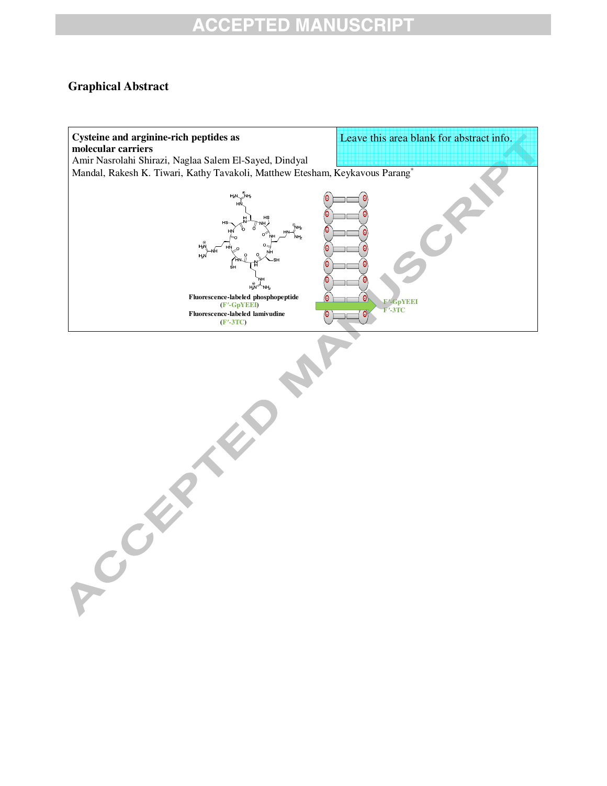# **ACCEPTED MANUSCRIPT**

## **Graphical Abstract**

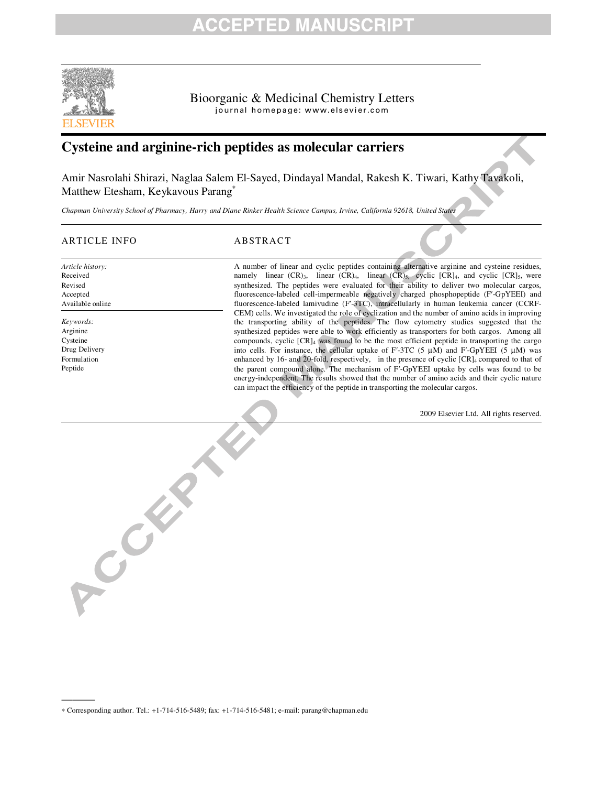# ED M.



Bioorganic & Medicinal Chemistry Letters journal homepage: www.elsevier.com

## **Cysteine and arginine-rich peptides as molecular carriers**

Amir Nasrolahi Shirazi, Naglaa Salem El-Sayed, Dindayal Mandal, Rakesh K. Tiwari, Kathy Tavakoli, Matthew Etesham, Keykavous Parang<sup>∗</sup>

*Chapman University School of Pharmacy, Harry and Diane Rinker Health Science Campus, Irvine, California 92618, United States* 

## ARTICLE INFO ABSTRACT

*Article history:* Received Revised Accepted Available online

*Keywords:* Arginine Cysteine Drug Delivery Formulation Peptide

———

A number of linear and cyclic peptides containing alternative arginine and cysteine residues, namely linear  $(CR)_3$ , linear  $\hat{(CR)}_4$ , linear  $\hat{(CR)}_5$ , cyclic  $[CR]_4$ , and cyclic  $[CR]_5$ , were synthesized. The peptides were evaluated for their ability to deliver two molecular cargos, fluorescence-labeled cell-impermeable negatively charged phosphopeptide (F′-GpYEEI) and fluorescence-labeled lamivudine (F′-3TC), intracellularly in human leukemia cancer (CCRF-CEM) cells. We investigated the role of cyclization and the number of amino acids in improving the transporting ability of the peptides. The flow cytometry studies suggested that the synthesized peptides were able to work efficiently as transporters for both cargos. Among all compounds, cyclic [CR]4 was found to be the most efficient peptide in transporting the cargo into cells. For instance, the cellular uptake of F'-3TC (5  $\mu$ M) and F'-GpYEEI (5  $\mu$ M) was enhanced by 16- and 20-fold, respectively, in the presence of cyclic  $[CR]_4$  compared to that of the parent compound alone. The mechanism of F′-GpYEEI uptake by cells was found to be energy-independent. The results showed that the number of amino acids and their cyclic nature can impact the efficiency of the peptide in transporting the molecular cargos.

2009 Elsevier Ltd. All rights reserved.

ACCEPTER A

<sup>∗</sup> Corresponding author. Tel.: +1-714-516-5489; fax: +1-714-516-5481; e-mail: parang@chapman.edu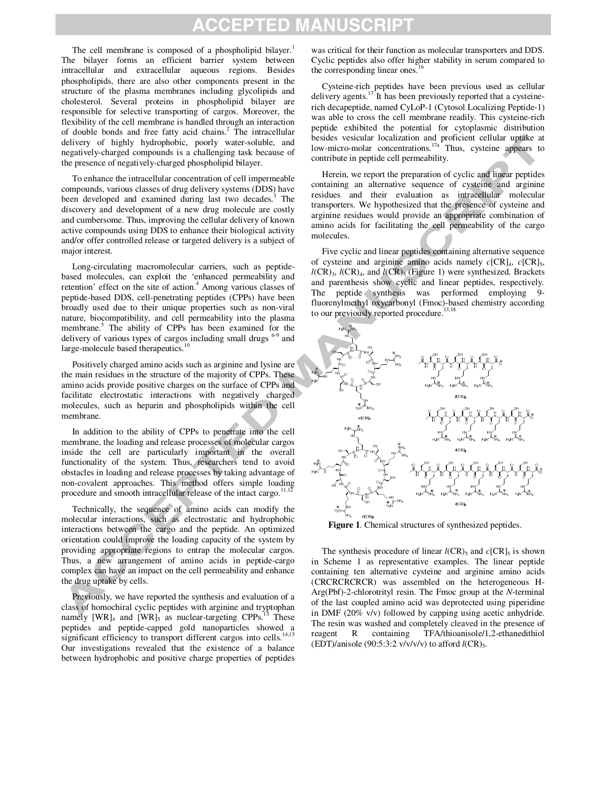# **CCEPTED MANUSCRIP1**

The cell membrane is composed of a phospholipid bilayer.<sup>1</sup> The bilayer forms an efficient barrier system between intracellular and extracellular aqueous regions. Besides phospholipids, there are also other components present in the structure of the plasma membranes including glycolipids and cholesterol. Several proteins in phospholipid bilayer are responsible for selective transporting of cargos. Moreover, the flexibility of the cell membrane is handled through an interaction of double bonds and free fatty acid chains.<sup>2</sup> The intracellular delivery of highly hydrophobic, poorly water-soluble, and negatively-charged compounds is a challenging task because of the presence of negatively-charged phospholipid bilayer.

To enhance the intracellular concentration of cell impermeable compounds, various classes of drug delivery systems (DDS) have been developed and examined during last two decades. 3 The discovery and development of a new drug molecule are costly and cumbersome. Thus, improving the cellular delivery of known active compounds using DDS to enhance their biological activity and/or offer controlled release or targeted delivery is a subject of major interest.

Long-circulating macromolecular carriers, such as peptidebased molecules, can exploit the 'enhanced permeability and retention' effect on the site of action.<sup>4</sup> Among various classes of peptide-based DDS, cell-penetrating peptides (CPPs) have been broadly used due to their unique properties such as non-viral nature, biocompatibility, and cell permeability into the plasma membrane.<sup>5</sup> The ability of CPPs has been examined for the delivery of various types of cargos including small drugs <sup>6-9</sup> and large-molecule based therapeutics.<sup>10</sup>

Positively charged amino acids such as arginine and lysine are the main residues in the structure of the majority of CPPs. These amino acids provide positive charges on the surface of CPPs and facilitate electrostatic interactions with negatively charged molecules, such as heparin and phospholipids within the cell membrane.

In addition to the ability of CPPs to penetrate into the cell membrane, the loading and release processes of molecular cargos inside the cell are particularly important in the overall functionality of the system. Thus, researchers tend to avoid obstacles in loading and release processes by taking advantage of non-covalent approaches. This method offers simple loading procedure and smooth intracellular release of the intact cargo.<sup>11,</sup>

Technically, the sequence of amino acids can modify the molecular interactions, such as electrostatic and hydrophobic interactions between the cargo and the peptide. An optimized orientation could improve the loading capacity of the system by providing appropriate regions to entrap the molecular cargos. Thus, a new arrangement of amino acids in peptide-cargo complex can have an impact on the cell permeability and enhance the drug uptake by cells.

Previously, we have reported the synthesis and evaluation of a class of homochiral cyclic peptides with arginine and tryptophan namely  $[WR]_4$  and  $[WR]_5$  as nuclear-targeting CPPs.<sup>13</sup> These peptides and peptide-capped gold nanoparticles showed a significant efficiency to transport different cargos into cells.<sup>14,15</sup> Our investigations revealed that the existence of a balance between hydrophobic and positive charge properties of peptides

was critical for their function as molecular transporters and DDS. Cyclic peptides also offer higher stability in serum compared to the corresponding linear ones.<sup>1</sup>

Cysteine-rich peptides have been previous used as cellular delivery agents.<sup>17</sup> It has been previously reported that a cysteinerich decapeptide, named CyLoP-1 (Cytosol Localizing Peptide-1) was able to cross the cell membrane readily. This cysteine-rich peptide exhibited the potential for cytoplasmic distribution besides vesicular localization and proficient cellular uptake at low-micro-molar concentrations.<sup>17a</sup> Thus, cysteine appears to contribute in peptide cell permeability.

Herein, we report the preparation of cyclic and linear peptides containing an alternative sequence of cysteine and arginine residues and their evaluation as intracellular molecular transporters. We hypothesized that the presence of cysteine and arginine residues would provide an appropriate combination of amino acids for facilitating the cell permeability of the cargo molecules.

Five cyclic and linear peptides containing alternative sequence of cysteine and arginine amino acids namely  $c[CR]_4$ ,  $c[CR]_5$ ,  $l(CR)$ <sub>3</sub>,  $l(CR)$ <sub>4</sub>, and  $l(CR)$ <sub>5</sub> (Figure 1) were synthesized. Brackets and parenthesis show cyclic and linear peptides, respectively. The peptide synthesis was performed employing 9 fluorenylmethyl oxycarbonyl (Fmoc)-based chemistry according to our previously reported procedure.<sup>13,18</sup>



**Figure 1**. Chemical structures of synthesized peptides.

The synthesis procedure of linear  $l(CR)_5$  and  $c[CR]_5$  is shown in Scheme 1 as representative examples. The linear peptide containing ten alternative cysteine and arginine amino acids (CRCRCRCRCR) was assembled on the heterogeneous H-Arg(Pbf)-2-chlorotrityl resin. The Fmoc group at the *N*-terminal of the last coupled amino acid was deprotected using piperidine in DMF (20% v/v) followed by capping using acetic anhydride. The resin was washed and completely cleaved in the presence of reagent R containing TFA/thioanisole/1,2-ethanedithiol (EDT)/anisole (90:5:3:2  $v/v/v/v$ ) to afford  $l(CR)_5$ .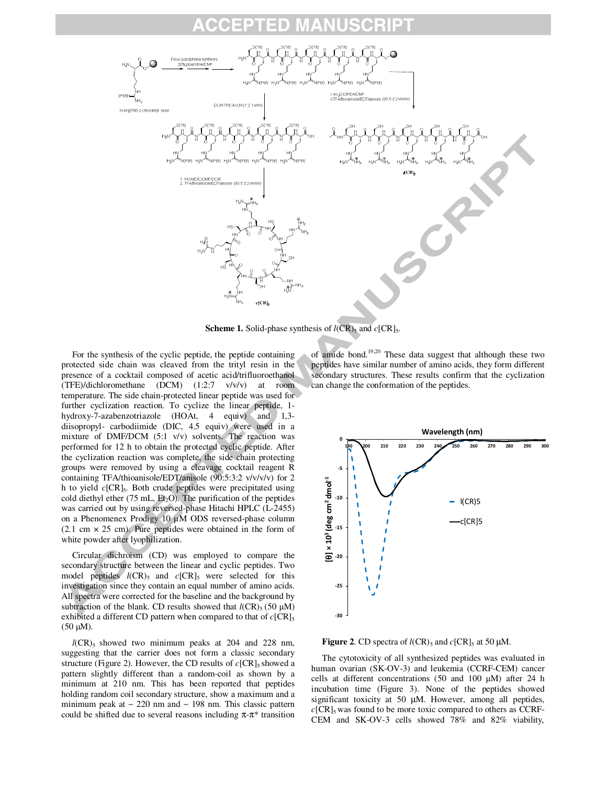

**Scheme 1.** Solid-phase synthesis of  $l(CR)_5$  and  $c[CR]_5$ .

For the synthesis of the cyclic peptide, the peptide containing protected side chain was cleaved from the trityl resin in the presence of a cocktail composed of acetic acid/trifluoroethanol (TFE)/dichloromethane (DCM) (1:2:7 v/v/v) at room temperature. The side chain-protected linear peptide was used for further cyclization reaction. To cyclize the linear peptide, 1 hydroxy-7-azabenzotriazole (HOAt, 4 equiv) and 1,3diisopropyl- carbodiimide (DIC, 4.5 equiv) were used in a mixture of DMF/DCM (5:1 v/v) solvents. The reaction was performed for 12 h to obtain the protected cyclic peptide. After the cyclization reaction was complete, the side chain protecting groups were removed by using a cleavage cocktail reagent R containing TFA/thioanisole/EDT/anisole (90:5:3:2 v/v/v/v) for 2 h to yield *c*[CR]<sup>5</sup> . Both crude peptides were precipitated using cold diethyl ether (75 mL,  $Et_2O$ ). The purification of the peptides was carried out by using reversed-phase Hitachi HPLC (L-2455) on a Phenomenex Prodigy 10 µM ODS reversed-phase column  $(2.1 \text{ cm} \times 25 \text{ cm})$ . Pure peptides were obtained in the form of white powder after lyophilization.

Circular dichroism (CD) was employed to compare the secondary structure between the linear and cyclic peptides. Two model peptides  $l(CR)$ <sub>5</sub> and  $c[CR]$ <sub>5</sub> were selected for this investigation since they contain an equal number of amino acids. All spectra were corrected for the baseline and the background by subtraction of the blank. CD results showed that  $l(CR)$ <sub>5</sub> (50  $\mu$ M) exhibited a different CD pattern when compared to that of  $c[CR]_5$  $(50 \mu M)$ .

 $l(CR)$ <sub>5</sub> showed two minimum peaks at 204 and 228 nm, suggesting that the carrier does not form a classic secondary structure (Figure 2). However, the CD results of  $c[CR]_5$  showed a pattern slightly different than a random-coil as shown by a minimum at 210 nm. This has been reported that peptides holding random coil secondary structure, show a maximum and a minimum peak at ∼ 220 nm and ∼ 198 nm. This classic pattern could be shifted due to several reasons including  $\pi$ - $\pi$ <sup>\*</sup> transition

of amide bond.19,20 These data suggest that although these two peptides have similar number of amino acids, they form different secondary structures. These results confirm that the cyclization can change the conformation of the peptides.



**Figure 2.** CD spectra of  $l(CR)_5$  and  $c[CR]_5$  at 50  $\mu$ M.

The cytotoxicity of all synthesized peptides was evaluated in human ovarian (SK-OV-3) and leukemia (CCRF-CEM) cancer cells at different concentrations (50 and 100  $\mu$ M) after 24 h incubation time (Figure 3). None of the peptides showed significant toxicity at 50  $\mu$ M. However, among all peptides,  $c[CR]_5$  was found to be more toxic compared to others as CCRF-CEM and SK-OV-3 cells showed 78% and 82% viability,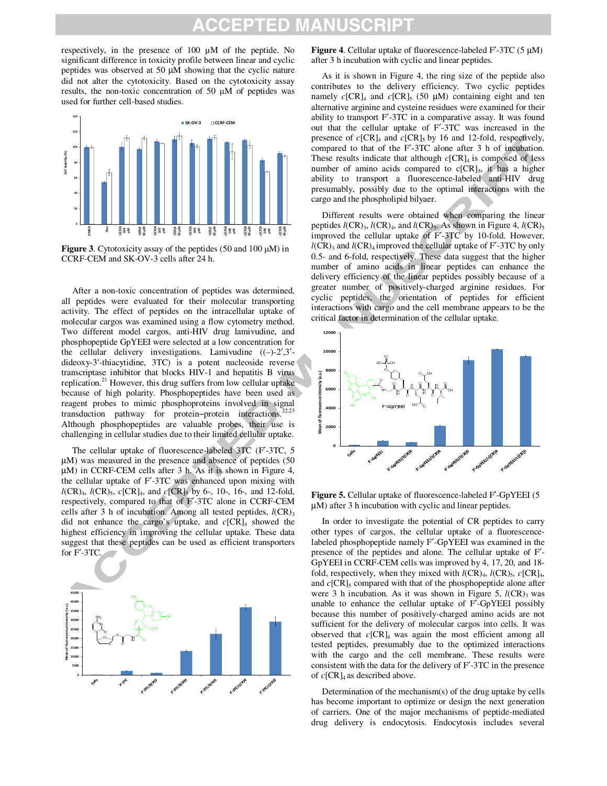# **CCEPTED MANUSCRIP1**

respectively, in the presence of 100 µM of the peptide. No significant difference in toxicity profile between linear and cyclic peptides was observed at 50 µM showing that the cyclic nature did not alter the cytotoxicity. Based on the cytotoxicity assay results, the non-toxic concentration of 50 µM of peptides was used for further cell-based studies.



**Figure 3**. Cytotoxicity assay of the peptides (50 and 100 µM) in CCRF-CEM and SK-OV-3 cells after 24 h.

After a non-toxic concentration of peptides was determined, all peptides were evaluated for their molecular transporting activity. The effect of peptides on the intracellular uptake of molecular cargos was examined using a flow cytometry method. Two different model cargos, anti-HIV drug lamivudine, and phosphopeptide GpYEEI were selected at a low concentration for the cellular delivery investigations. Lamivudine ((–)-2′,3′ dideoxy-3′-thiacytidine, 3TC) is a potent nucleoside reverse transcriptase inhibitor that blocks HIV-1 and hepatitis B virus replication.<sup>21</sup> However, this drug suffers from low cellular uptake because of high polarity. Phosphopeptides have been used as reagent probes to mimic phosphoproteins involved in signal transduction pathway for protein–protein interactions.<sup>2</sup> Although phosphopeptides are valuable probes, their use is challenging in cellular studies due to their limited cellular uptake.

The cellular uptake of fluorescence-labeled 3TC (F′-3TC, 5 µM) was measured in the presence and absence of peptides (50 µM) in CCRF-CEM cells after 3 h. As it is shown in Figure 4, the cellular uptake of F′-3TC was enhanced upon mixing with *l*(CR)<sub>4</sub>, *l*(CR)<sub>5</sub>, *c*[CR]<sub>4</sub>, and *c*[CR]<sub>5</sub> by 6-, 10-, 16-, and 12-fold, respectively, compared to that of F′-3TC alone in CCRF-CEM cells after 3 h of incubation. Among all tested peptides,  $l(CR)$ <sub>3</sub> did not enhance the cargo's uptake, and  $c[CR]_4$  showed the highest efficiency in improving the cellular uptake. These data suggest that these peptides can be used as efficient transporters for F′-3TC.



**Figure 4**. Cellular uptake of fluorescence-labeled F′-3TC (5 µM) after 3 h incubation with cyclic and linear peptides.

As it is shown in Figure 4, the ring size of the peptide also contributes to the delivery efficiency. Two cyclic peptides namely  $c[CR]_4$  and  $c[CR]_5$  (50  $\mu$ M) containing eight and ten alternative arginine and cysteine residues were examined for their ability to transport F′-3TC in a comparative assay. It was found out that the cellular uptake of F′-3TC was increased in the presence of  $c[CR]_4$  and  $c[CR]_5$  by 16 and 12-fold, respectively, compared to that of the F′-3TC alone after 3 h of incubation. These results indicate that although *c*[CR]4 is composed of less number of amino acids compared to  $c[CR]_5$ , it has a higher ability to transport a fluorescence-labeled anti-HIV drug presumably, possibly due to the optimal interactions with the cargo and the phospholipid bilyaer.

Different results were obtained when comparing the linear peptides  $l(CR)$ <sub>3</sub>,  $l(CR)$ <sub>4</sub>, and  $l(CR)$ <sub>5</sub>. As shown in Figure 4,  $l(CR)$ <sub>5</sub> improved the cellular uptake of F′-3TC by 10-fold. However,  $l(CR)$ <sub>3</sub> and  $l(CR)$ <sub>4</sub> improved the cellular uptake of F'-3TC by only 0.5- and 6-fold, respectively. These data suggest that the higher number of amino acids in linear peptides can enhance the delivery efficiency of the linear peptides possibly because of a greater number of positively-charged arginine residues. For cyclic peptides, the orientation of peptides for efficient interactions with cargo and the cell membrane appears to be the critical factor in determination of the cellular uptake.



**Figure 5.** Cellular uptake of fluorescence-labeled F′-GpYEEI (5 µM) after 3 h incubation with cyclic and linear peptides.

In order to investigate the potential of CR peptides to carry other types of cargos, the cellular uptake of a fluorescencelabeled phosphopeptide namely F′-GpYEEI was examined in the presence of the peptides and alone. The cellular uptake of F′- GpYEEI in CCRF-CEM cells was improved by 4, 17, 20, and 18 fold, respectively, when they mixed with  $l(CR)_4$ ,  $l(CR)_5$ ,  $c[CR]_4$ , and  $c[CR]_5$  compared with that of the phosphopeptide alone after were 3 h incubation. As it was shown in Figure 5,  $l(CR)$ <sub>3</sub> was unable to enhance the cellular uptake of F′-GpYEEI possibly because this number of positively-charged amino acids are not sufficient for the delivery of molecular cargos into cells. It was observed that *c*[CR]4 was again the most efficient among all tested peptides, presumably due to the optimized interactions with the cargo and the cell membrane. These results were consistent with the data for the delivery of F′-3TC in the presence of  $c[CR]_4$  as described above.

Determination of the mechanism(s) of the drug uptake by cells has become important to optimize or design the next generation of carriers. One of the major mechanisms of peptide-mediated drug delivery is endocytosis. Endocytosis includes several